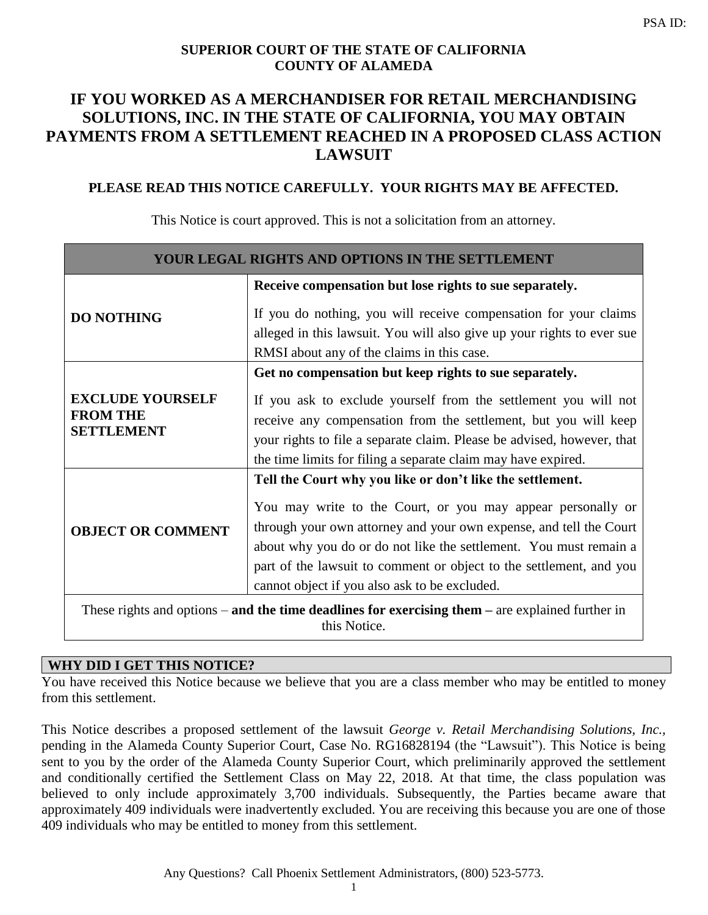## **SUPERIOR COURT OF THE STATE OF CALIFORNIA COUNTY OF ALAMEDA**

# **IF YOU WORKED AS A MERCHANDISER FOR RETAIL MERCHANDISING SOLUTIONS, INC. IN THE STATE OF CALIFORNIA, YOU MAY OBTAIN PAYMENTS FROM A SETTLEMENT REACHED IN A PROPOSED CLASS ACTION LAWSUIT**

## **PLEASE READ THIS NOTICE CAREFULLY. YOUR RIGHTS MAY BE AFFECTED.**

| YOUR LEGAL RIGHTS AND OPTIONS IN THE SETTLEMENT                                                  |                                                                        |
|--------------------------------------------------------------------------------------------------|------------------------------------------------------------------------|
| <b>DO NOTHING</b>                                                                                | Receive compensation but lose rights to sue separately.                |
|                                                                                                  | If you do nothing, you will receive compensation for your claims       |
|                                                                                                  | alleged in this lawsuit. You will also give up your rights to ever sue |
|                                                                                                  | RMSI about any of the claims in this case.                             |
|                                                                                                  | Get no compensation but keep rights to sue separately.                 |
| <b>EXCLUDE YOURSELF</b><br><b>FROM THE</b><br><b>SETTLEMENT</b>                                  | If you ask to exclude yourself from the settlement you will not        |
|                                                                                                  | receive any compensation from the settlement, but you will keep        |
|                                                                                                  | your rights to file a separate claim. Please be advised, however, that |
|                                                                                                  | the time limits for filing a separate claim may have expired.          |
| <b>OBJECT OR COMMENT</b>                                                                         | Tell the Court why you like or don't like the settlement.              |
|                                                                                                  | You may write to the Court, or you may appear personally or            |
|                                                                                                  | through your own attorney and your own expense, and tell the Court     |
|                                                                                                  | about why you do or do not like the settlement. You must remain a      |
|                                                                                                  | part of the lawsuit to comment or object to the settlement, and you    |
|                                                                                                  | cannot object if you also ask to be excluded.                          |
| These rights and options – and the time deadlines for exercising them – are explained further in |                                                                        |

This Notice is court approved. This is not a solicitation from an attorney.

this Notice.

## **WHY DID I GET THIS NOTICE?**

You have received this Notice because we believe that you are a class member who may be entitled to money from this settlement.

This Notice describes a proposed settlement of the lawsuit *George v. Retail Merchandising Solutions, Inc.,*  pending in the Alameda County Superior Court, Case No. RG16828194 (the "Lawsuit"). This Notice is being sent to you by the order of the Alameda County Superior Court, which preliminarily approved the settlement and conditionally certified the Settlement Class on May 22, 2018. At that time, the class population was believed to only include approximately 3,700 individuals. Subsequently, the Parties became aware that approximately 409 individuals were inadvertently excluded. You are receiving this because you are one of those 409 individuals who may be entitled to money from this settlement.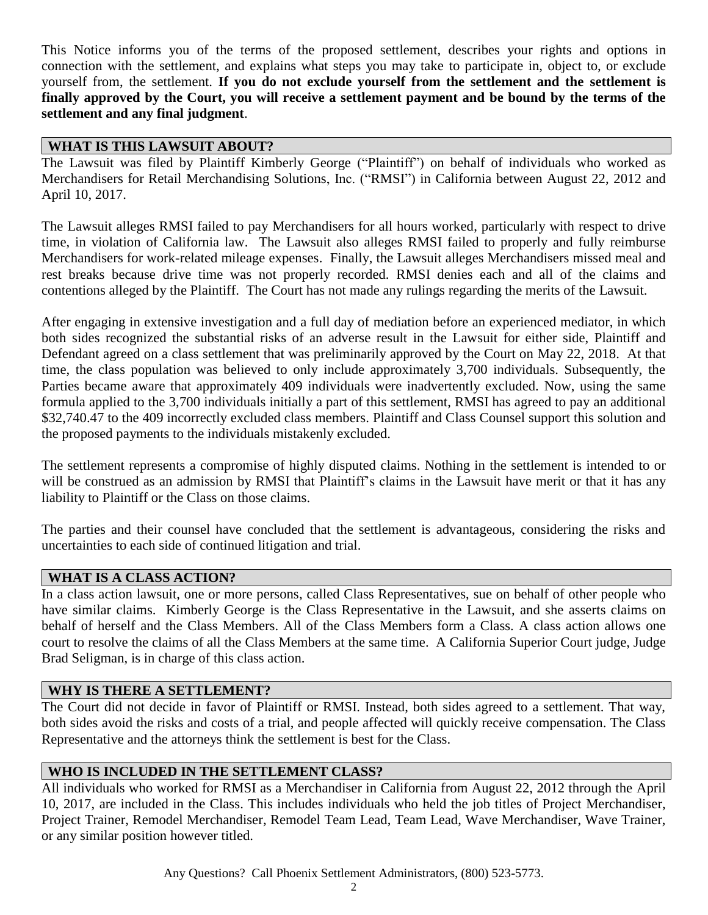This Notice informs you of the terms of the proposed settlement, describes your rights and options in connection with the settlement, and explains what steps you may take to participate in, object to, or exclude yourself from, the settlement. **If you do not exclude yourself from the settlement and the settlement is finally approved by the Court, you will receive a settlement payment and be bound by the terms of the settlement and any final judgment**.

## **WHAT IS THIS LAWSUIT ABOUT?**

The Lawsuit was filed by Plaintiff Kimberly George ("Plaintiff") on behalf of individuals who worked as Merchandisers for Retail Merchandising Solutions, Inc. ("RMSI") in California between August 22, 2012 and April 10, 2017.

The Lawsuit alleges RMSI failed to pay Merchandisers for all hours worked, particularly with respect to drive time, in violation of California law. The Lawsuit also alleges RMSI failed to properly and fully reimburse Merchandisers for work-related mileage expenses. Finally, the Lawsuit alleges Merchandisers missed meal and rest breaks because drive time was not properly recorded. RMSI denies each and all of the claims and contentions alleged by the Plaintiff. The Court has not made any rulings regarding the merits of the Lawsuit.

After engaging in extensive investigation and a full day of mediation before an experienced mediator, in which both sides recognized the substantial risks of an adverse result in the Lawsuit for either side, Plaintiff and Defendant agreed on a class settlement that was preliminarily approved by the Court on May 22, 2018. At that time, the class population was believed to only include approximately 3,700 individuals. Subsequently, the Parties became aware that approximately 409 individuals were inadvertently excluded. Now, using the same formula applied to the 3,700 individuals initially a part of this settlement, RMSI has agreed to pay an additional \$32,740.47 to the 409 incorrectly excluded class members. Plaintiff and Class Counsel support this solution and the proposed payments to the individuals mistakenly excluded.

The settlement represents a compromise of highly disputed claims. Nothing in the settlement is intended to or will be construed as an admission by RMSI that Plaintiff's claims in the Lawsuit have merit or that it has any liability to Plaintiff or the Class on those claims.

The parties and their counsel have concluded that the settlement is advantageous, considering the risks and uncertainties to each side of continued litigation and trial.

#### **WHAT IS A CLASS ACTION?**

In a class action lawsuit, one or more persons, called Class Representatives, sue on behalf of other people who have similar claims. Kimberly George is the Class Representative in the Lawsuit, and she asserts claims on behalf of herself and the Class Members. All of the Class Members form a Class. A class action allows one court to resolve the claims of all the Class Members at the same time. A California Superior Court judge, Judge Brad Seligman, is in charge of this class action.

#### **WHY IS THERE A SETTLEMENT?**

The Court did not decide in favor of Plaintiff or RMSI. Instead, both sides agreed to a settlement. That way, both sides avoid the risks and costs of a trial, and people affected will quickly receive compensation. The Class Representative and the attorneys think the settlement is best for the Class.

## **WHO IS INCLUDED IN THE SETTLEMENT CLASS?**

All individuals who worked for RMSI as a Merchandiser in California from August 22, 2012 through the April 10, 2017, are included in the Class. This includes individuals who held the job titles of Project Merchandiser, Project Trainer, Remodel Merchandiser, Remodel Team Lead, Team Lead, Wave Merchandiser, Wave Trainer, or any similar position however titled.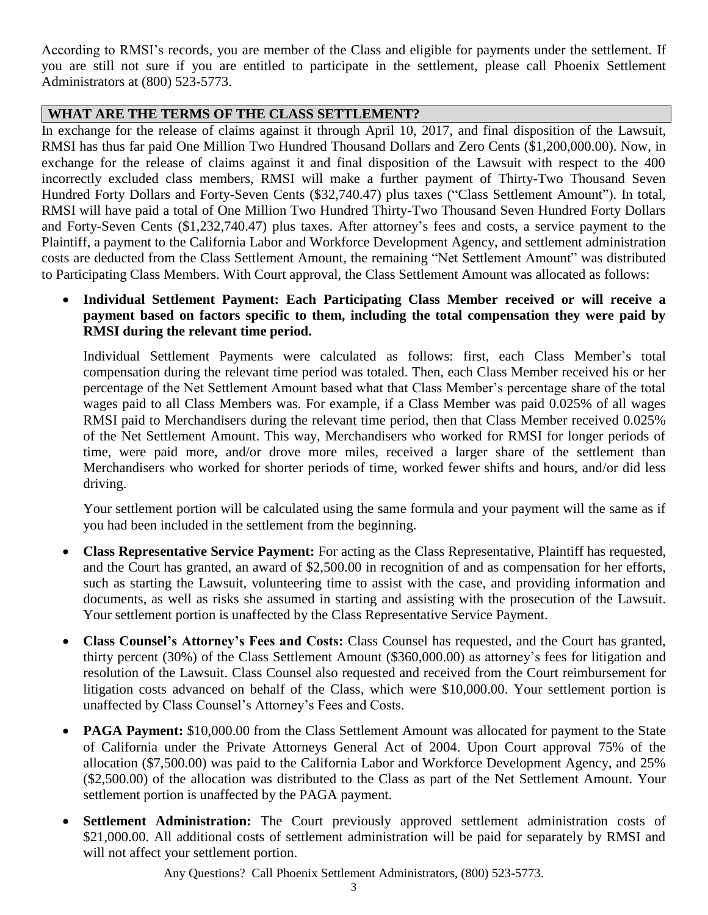According to RMSI's records, you are member of the Class and eligible for payments under the settlement. If you are still not sure if you are entitled to participate in the settlement, please call Phoenix Settlement Administrators at (800) 523-5773.

#### **WHAT ARE THE TERMS OF THE CLASS SETTLEMENT?**

In exchange for the release of claims against it through April 10, 2017, and final disposition of the Lawsuit, RMSI has thus far paid One Million Two Hundred Thousand Dollars and Zero Cents (\$1,200,000.00). Now, in exchange for the release of claims against it and final disposition of the Lawsuit with respect to the 400 incorrectly excluded class members, RMSI will make a further payment of Thirty-Two Thousand Seven Hundred Forty Dollars and Forty-Seven Cents (\$32,740.47) plus taxes ("Class Settlement Amount"). In total, RMSI will have paid a total of One Million Two Hundred Thirty-Two Thousand Seven Hundred Forty Dollars and Forty-Seven Cents (\$1,232,740.47) plus taxes. After attorney's fees and costs, a service payment to the Plaintiff, a payment to the California Labor and Workforce Development Agency, and settlement administration costs are deducted from the Class Settlement Amount, the remaining "Net Settlement Amount" was distributed to Participating Class Members. With Court approval, the Class Settlement Amount was allocated as follows:

• **Individual Settlement Payment: Each Participating Class Member received or will receive a payment based on factors specific to them, including the total compensation they were paid by RMSI during the relevant time period.** 

Individual Settlement Payments were calculated as follows: first, each Class Member's total compensation during the relevant time period was totaled. Then, each Class Member received his or her percentage of the Net Settlement Amount based what that Class Member's percentage share of the total wages paid to all Class Members was. For example, if a Class Member was paid 0.025% of all wages RMSI paid to Merchandisers during the relevant time period, then that Class Member received 0.025% of the Net Settlement Amount. This way, Merchandisers who worked for RMSI for longer periods of time, were paid more, and/or drove more miles, received a larger share of the settlement than Merchandisers who worked for shorter periods of time, worked fewer shifts and hours, and/or did less driving.

Your settlement portion will be calculated using the same formula and your payment will the same as if you had been included in the settlement from the beginning.

- **Class Representative Service Payment:** For acting as the Class Representative, Plaintiff has requested, and the Court has granted, an award of \$2,500.00 in recognition of and as compensation for her efforts, such as starting the Lawsuit, volunteering time to assist with the case, and providing information and documents, as well as risks she assumed in starting and assisting with the prosecution of the Lawsuit. Your settlement portion is unaffected by the Class Representative Service Payment.
- **Class Counsel's Attorney's Fees and Costs:** Class Counsel has requested, and the Court has granted, thirty percent (30%) of the Class Settlement Amount (\$360,000.00) as attorney's fees for litigation and resolution of the Lawsuit. Class Counsel also requested and received from the Court reimbursement for litigation costs advanced on behalf of the Class, which were \$10,000.00. Your settlement portion is unaffected by Class Counsel's Attorney's Fees and Costs.
- **PAGA Payment:** \$10,000.00 from the Class Settlement Amount was allocated for payment to the State of California under the Private Attorneys General Act of 2004. Upon Court approval 75% of the allocation (\$7,500.00) was paid to the California Labor and Workforce Development Agency, and 25% (\$2,500.00) of the allocation was distributed to the Class as part of the Net Settlement Amount. Your settlement portion is unaffected by the PAGA payment.
- **Settlement Administration:** The Court previously approved settlement administration costs of \$21,000.00. All additional costs of settlement administration will be paid for separately by RMSI and will not affect your settlement portion.

Any Questions? Call Phoenix Settlement Administrators, (800) 523-5773.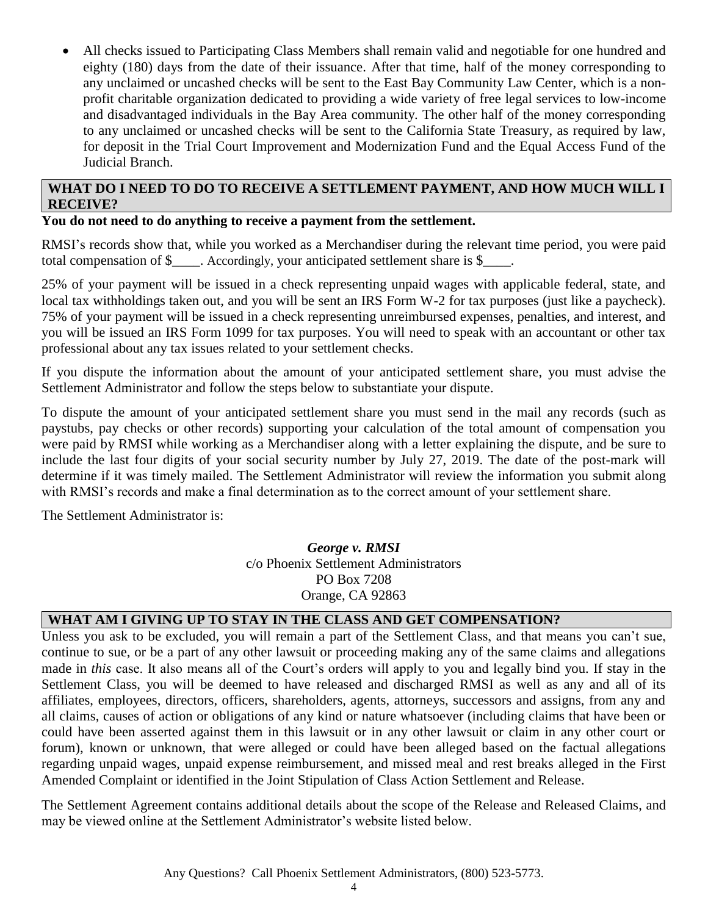• All checks issued to Participating Class Members shall remain valid and negotiable for one hundred and eighty (180) days from the date of their issuance. After that time, half of the money corresponding to any unclaimed or uncashed checks will be sent to the East Bay Community Law Center, which is a nonprofit charitable organization dedicated to providing a wide variety of free legal services to low-income and disadvantaged individuals in the Bay Area community. The other half of the money corresponding to any unclaimed or uncashed checks will be sent to the California State Treasury, as required by law, for deposit in the Trial Court Improvement and Modernization Fund and the Equal Access Fund of the Judicial Branch.

## **WHAT DO I NEED TO DO TO RECEIVE A SETTLEMENT PAYMENT, AND HOW MUCH WILL I RECEIVE?**

#### **You do not need to do anything to receive a payment from the settlement.**

RMSI's records show that, while you worked as a Merchandiser during the relevant time period, you were paid total compensation of \$\_\_\_\_. Accordingly, your anticipated settlement share is \$\_\_\_\_.

25% of your payment will be issued in a check representing unpaid wages with applicable federal, state, and local tax withholdings taken out, and you will be sent an IRS Form W-2 for tax purposes (just like a paycheck). 75% of your payment will be issued in a check representing unreimbursed expenses, penalties, and interest, and you will be issued an IRS Form 1099 for tax purposes. You will need to speak with an accountant or other tax professional about any tax issues related to your settlement checks.

If you dispute the information about the amount of your anticipated settlement share, you must advise the Settlement Administrator and follow the steps below to substantiate your dispute.

To dispute the amount of your anticipated settlement share you must send in the mail any records (such as paystubs, pay checks or other records) supporting your calculation of the total amount of compensation you were paid by RMSI while working as a Merchandiser along with a letter explaining the dispute, and be sure to include the last four digits of your social security number by July 27, 2019. The date of the post-mark will determine if it was timely mailed. The Settlement Administrator will review the information you submit along with RMSI's records and make a final determination as to the correct amount of your settlement share.

The Settlement Administrator is:

*George v. RMSI* c/o Phoenix Settlement Administrators PO Box 7208 Orange, CA 92863

## **WHAT AM I GIVING UP TO STAY IN THE CLASS AND GET COMPENSATION?**

Unless you ask to be excluded, you will remain a part of the Settlement Class, and that means you can't sue, continue to sue, or be a part of any other lawsuit or proceeding making any of the same claims and allegations made in *this* case. It also means all of the Court's orders will apply to you and legally bind you. If stay in the Settlement Class, you will be deemed to have released and discharged RMSI as well as any and all of its affiliates, employees, directors, officers, shareholders, agents, attorneys, successors and assigns, from any and all claims, causes of action or obligations of any kind or nature whatsoever (including claims that have been or could have been asserted against them in this lawsuit or in any other lawsuit or claim in any other court or forum), known or unknown, that were alleged or could have been alleged based on the factual allegations regarding unpaid wages, unpaid expense reimbursement, and missed meal and rest breaks alleged in the First Amended Complaint or identified in the Joint Stipulation of Class Action Settlement and Release.

The Settlement Agreement contains additional details about the scope of the Release and Released Claims, and may be viewed online at the Settlement Administrator's website listed below.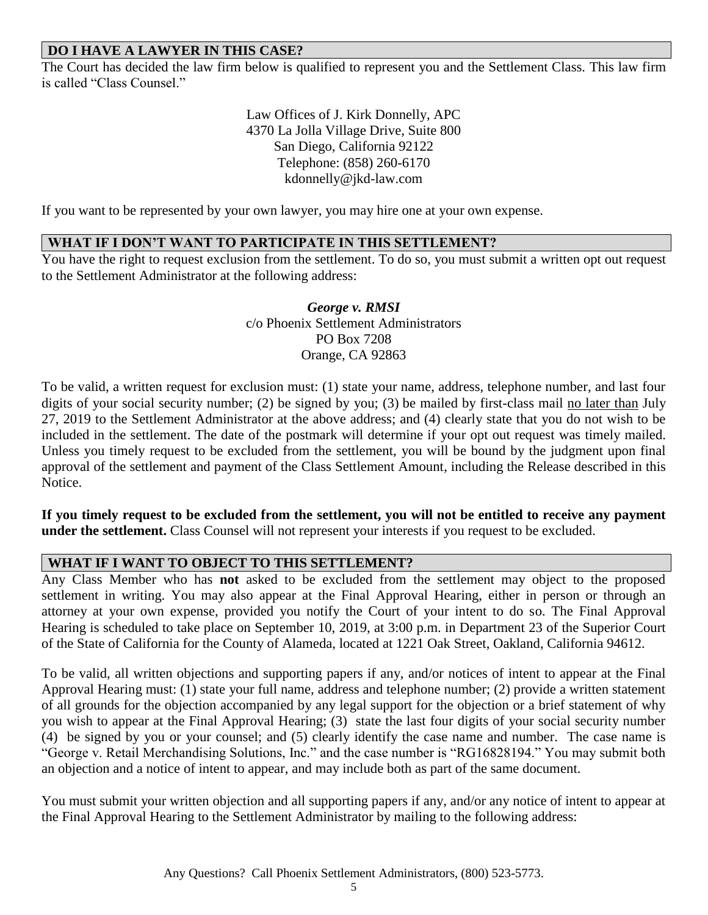## **DO I HAVE A LAWYER IN THIS CASE?**

The Court has decided the law firm below is qualified to represent you and the Settlement Class. This law firm is called "Class Counsel."

> Law Offices of J. Kirk Donnelly, APC 4370 La Jolla Village Drive, Suite 800 San Diego, California 92122 Telephone: (858) 260-6170 kdonnelly@jkd-law.com

If you want to be represented by your own lawyer, you may hire one at your own expense.

#### **WHAT IF I DON'T WANT TO PARTICIPATE IN THIS SETTLEMENT?**

You have the right to request exclusion from the settlement. To do so, you must submit a written opt out request to the Settlement Administrator at the following address:

> *George v. RMSI* c/o Phoenix Settlement Administrators PO Box 7208 Orange, CA 92863

To be valid, a written request for exclusion must: (1) state your name, address, telephone number, and last four digits of your social security number; (2) be signed by you; (3) be mailed by first-class mail no later than July 27, 2019 to the Settlement Administrator at the above address; and (4) clearly state that you do not wish to be included in the settlement. The date of the postmark will determine if your opt out request was timely mailed. Unless you timely request to be excluded from the settlement, you will be bound by the judgment upon final approval of the settlement and payment of the Class Settlement Amount, including the Release described in this Notice.

**If you timely request to be excluded from the settlement, you will not be entitled to receive any payment under the settlement.** Class Counsel will not represent your interests if you request to be excluded.

#### **WHAT IF I WANT TO OBJECT TO THIS SETTLEMENT?**

Any Class Member who has **not** asked to be excluded from the settlement may object to the proposed settlement in writing. You may also appear at the Final Approval Hearing, either in person or through an attorney at your own expense, provided you notify the Court of your intent to do so. The Final Approval Hearing is scheduled to take place on September 10, 2019, at 3:00 p.m. in Department 23 of the Superior Court of the State of California for the County of Alameda, located at 1221 Oak Street, Oakland, California 94612.

To be valid, all written objections and supporting papers if any, and/or notices of intent to appear at the Final Approval Hearing must: (1) state your full name, address and telephone number; (2) provide a written statement of all grounds for the objection accompanied by any legal support for the objection or a brief statement of why you wish to appear at the Final Approval Hearing; (3) state the last four digits of your social security number (4) be signed by you or your counsel; and (5) clearly identify the case name and number. The case name is "George v. Retail Merchandising Solutions, Inc." and the case number is "RG16828194." You may submit both an objection and a notice of intent to appear, and may include both as part of the same document.

You must submit your written objection and all supporting papers if any, and/or any notice of intent to appear at the Final Approval Hearing to the Settlement Administrator by mailing to the following address: